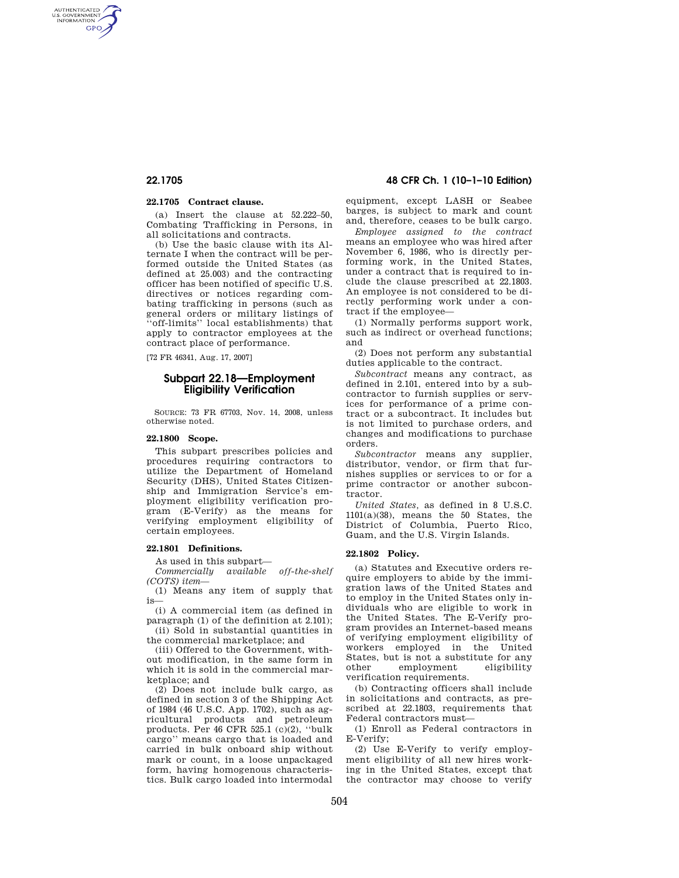AUTHENTICATED<br>U.S. GOVERNMENT<br>INFORMATION **GPO** 

## **22.1705 Contract clause.**

(a) Insert the clause at 52.222–50, Combating Trafficking in Persons, in all solicitations and contracts.

(b) Use the basic clause with its Alternate I when the contract will be performed outside the United States (as defined at 25.003) and the contracting officer has been notified of specific U.S. directives or notices regarding combating trafficking in persons (such as general orders or military listings of ''off-limits'' local establishments) that apply to contractor employees at the contract place of performance.

[72 FR 46341, Aug. 17, 2007]

# **Subpart 22.18—Employment Eligibility Verification**

SOURCE: 73 FR 67703, Nov. 14, 2008, unless otherwise noted.

## **22.1800 Scope.**

This subpart prescribes policies and procedures requiring contractors to utilize the Department of Homeland Security (DHS), United States Citizenship and Immigration Service's employment eligibility verification program (E-Verify) as the means for verifying employment eligibility of certain employees.

## **22.1801 Definitions.**

As used in this subpart—

*Commercially available off-the-shelf (COTS) item*—

(1) Means any item of supply that is—

(i) A commercial item (as defined in paragraph (1) of the definition at 2.101); (ii) Sold in substantial quantities in

the commercial marketplace; and

(iii) Offered to the Government, without modification, in the same form in which it is sold in the commercial marketplace; and

(2) Does not include bulk cargo, as defined in section 3 of the Shipping Act of 1984 (46 U.S.C. App. 1702), such as agricultural products and petroleum products. Per 46 CFR 525.1  $(c)(2)$ , "bulk cargo'' means cargo that is loaded and carried in bulk onboard ship without mark or count, in a loose unpackaged form, having homogenous characteristics. Bulk cargo loaded into intermodal

# **22.1705 48 CFR Ch. 1 (10–1–10 Edition)**

equipment, except LASH or Seabee barges, is subject to mark and count and, therefore, ceases to be bulk cargo.

*Employee assigned to the contract*  means an employee who was hired after November 6, 1986, who is directly performing work, in the United States, under a contract that is required to include the clause prescribed at 22.1803. An employee is not considered to be directly performing work under a contract if the employee—

(1) Normally performs support work, such as indirect or overhead functions; and

(2) Does not perform any substantial duties applicable to the contract.

*Subcontract* means any contract, as defined in 2.101, entered into by a subcontractor to furnish supplies or services for performance of a prime contract or a subcontract. It includes but is not limited to purchase orders, and changes and modifications to purchase orders.

*Subcontractor* means any supplier, distributor, vendor, or firm that furnishes supplies or services to or for a prime contractor or another subcontractor.

*United States,* as defined in 8 U.S.C.  $1101(a)(38)$ , means the 50 States, the District of Columbia, Puerto Rico, Guam, and the U.S. Virgin Islands.

## **22.1802 Policy.**

(a) Statutes and Executive orders require employers to abide by the immigration laws of the United States and to employ in the United States only individuals who are eligible to work in the United States. The E-Verify program provides an Internet-based means of verifying employment eligibility of workers employed in the United States, but is not a substitute for any other employment eligibility verification requirements.

(b) Contracting officers shall include in solicitations and contracts, as prescribed at 22.1803, requirements that Federal contractors must—

(1) Enroll as Federal contractors in E-Verify;

(2) Use E-Verify to verify employment eligibility of all new hires working in the United States, except that the contractor may choose to verify